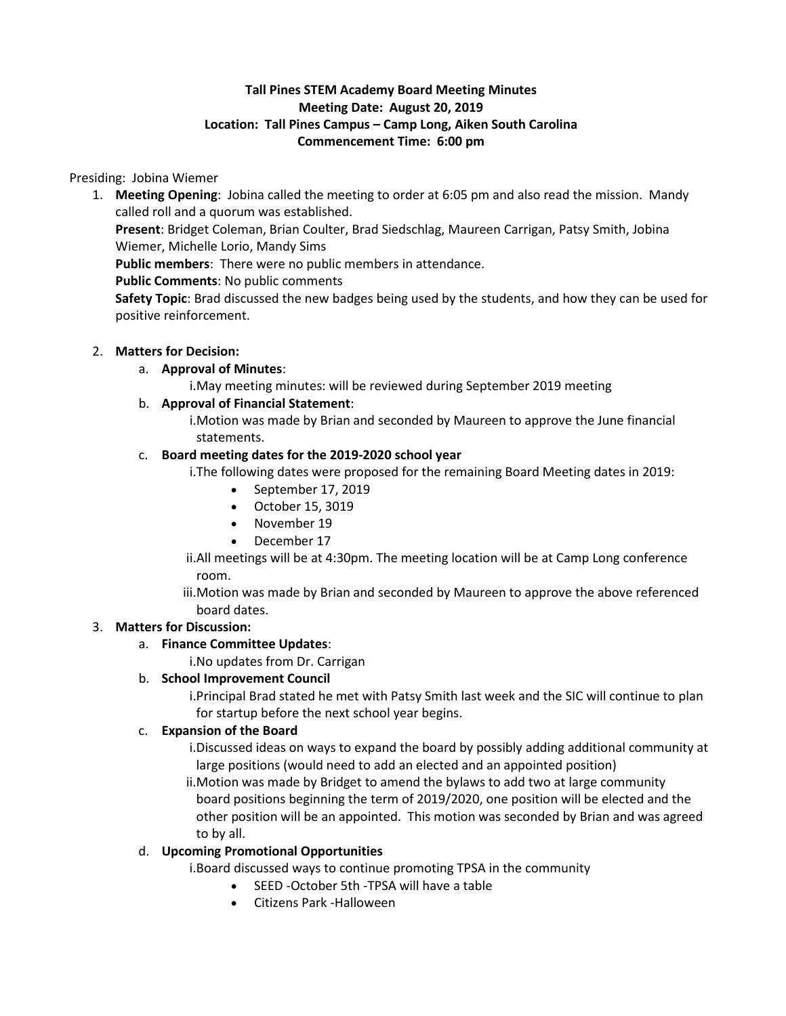## **Tall Pines STEM Academy Board Meeting Minutes Meeting Date: August 20, 2019 Location: Tall Pines Campus – Camp Long, Aiken South Carolina Commencement Time: 6:00 pm**

Presiding: Jobina Wiemer

1. **Meeting Opening**: Jobina called the meeting to order at 6:05 pm and also read the mission. Mandy called roll and a quorum was established. **Present**: Bridget Coleman, Brian Coulter, Brad Siedschlag, Maureen Carrigan, Patsy Smith, Jobina Wiemer, Michelle Lorio, Mandy Sims **Public members**: There were no public members in attendance. **Public Comments**: No public comments **Safety Topic**: Brad discussed the new badges being used by the students, and how they can be used for positive reinforcement.

### 2. **Matters for Decision:**

a. **Approval of Minutes**:

i.May meeting minutes: will be reviewed during September 2019 meeting

### b. **Approval of Financial Statement**:

i.Motion was made by Brian and seconded by Maureen to approve the June financial statements.

#### c. **Board meeting dates for the 2019-2020 school year**

i.The following dates were proposed for the remaining Board Meeting dates in 2019:

- September 17, 2019
- October 15, 3019
- November 19
- December 17
- ii.All meetings will be at 4:30pm. The meeting location will be at Camp Long conference room.

iii.Motion was made by Brian and seconded by Maureen to approve the above referenced board dates.

#### 3. **Matters for Discussion:**

### a. **Finance Committee Updates**:

i.No updates from Dr. Carrigan

### b. **School Improvement Council**

i.Principal Brad stated he met with Patsy Smith last week and the SIC will continue to plan for startup before the next school year begins.

### c. **Expansion of the Board**

i.Discussed ideas on ways to expand the board by possibly adding additional community at large positions (would need to add an elected and an appointed position)

ii.Motion was made by Bridget to amend the bylaws to add two at large community board positions beginning the term of 2019/2020, one position will be elected and the other position will be an appointed. This motion was seconded by Brian and was agreed to by all.

### d. **Upcoming Promotional Opportunities**

i.Board discussed ways to continue promoting TPSA in the community

- SEED -October 5th -TPSA will have a table
- Citizens Park -Halloween